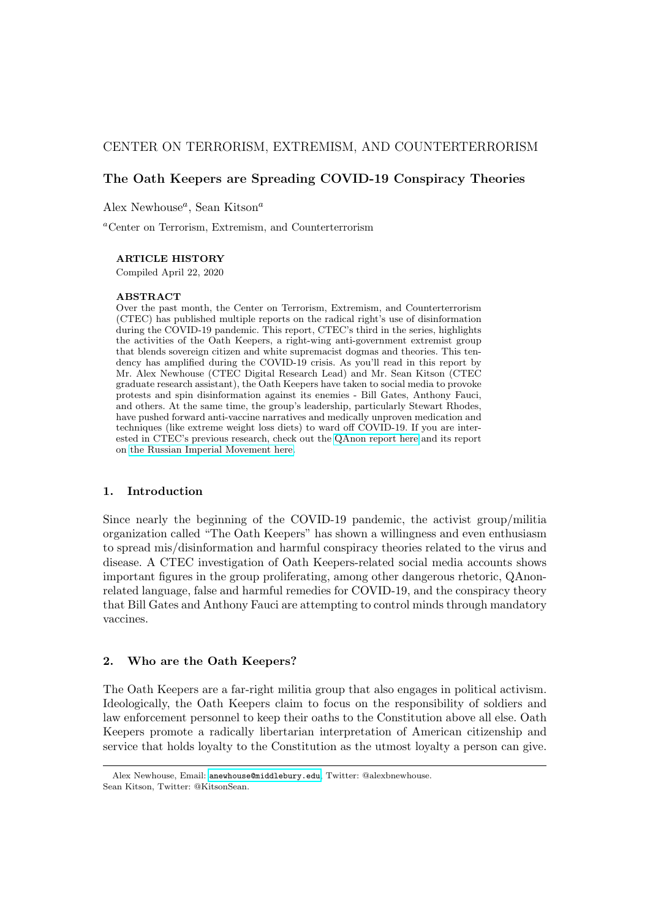# CENTER ON TERRORISM, EXTREMISM, AND COUNTERTERRORISM

# The Oath Keepers are Spreading COVID-19 Conspiracy Theories

Alex Newhouse<sup> $a$ </sup>, Sean Kitson<sup>a</sup>

<sup>a</sup>Center on Terrorism, Extremism, and Counterterrorism

### ARTICLE HISTORY

Compiled April 22, 2020

#### ABSTRACT

Over the past month, the Center on Terrorism, Extremism, and Counterterrorism (CTEC) has published multiple reports on the radical right's use of disinformation during the COVID-19 pandemic. This report, CTEC's third in the series, highlights the activities of the Oath Keepers, a right-wing anti-government extremist group that blends sovereign citizen and white supremacist dogmas and theories. This tendency has amplified during the COVID-19 crisis. As you'll read in this report by Mr. Alex Newhouse (CTEC Digital Research Lead) and Mr. Sean Kitson (CTEC graduate research assistant), the Oath Keepers have taken to social media to provoke protests and spin disinformation against its enemies - Bill Gates, Anthony Fauci, and others. At the same time, the group's leadership, particularly Stewart Rhodes, have pushed forward anti-vaccine narratives and medically unproven medication and techniques (like extreme weight loss diets) to ward off COVID-19. If you are interested in CTEC's previous research, check out the [QAnon report here](https://rpubs.com/alexbnewhouse/outofshadows) and its report on [the Russian Imperial Movement here.](https://www.middlebury.edu/institute/academics/centers-initiatives/ctec/ctec-publications-0/russian-imperial-movement-and-covid-19)

### 1. Introduction

Since nearly the beginning of the COVID-19 pandemic, the activist group/militia organization called "The Oath Keepers" has shown a willingness and even enthusiasm to spread mis/disinformation and harmful conspiracy theories related to the virus and disease. A CTEC investigation of Oath Keepers-related social media accounts shows important figures in the group proliferating, among other dangerous rhetoric, QAnonrelated language, false and harmful remedies for COVID-19, and the conspiracy theory that Bill Gates and Anthony Fauci are attempting to control minds through mandatory vaccines.

#### 2. Who are the Oath Keepers?

The Oath Keepers are a far-right militia group that also engages in political activism. Ideologically, the Oath Keepers claim to focus on the responsibility of soldiers and law enforcement personnel to keep their oaths to the Constitution above all else. Oath Keepers promote a radically libertarian interpretation of American citizenship and service that holds loyalty to the Constitution as the utmost loyalty a person can give.

Alex Newhouse, Email: [anewhouse@middlebury.edu](mailto:anewhouse@middlebury.edu), Twitter: @alexbnewhouse. Sean Kitson, Twitter: @KitsonSean.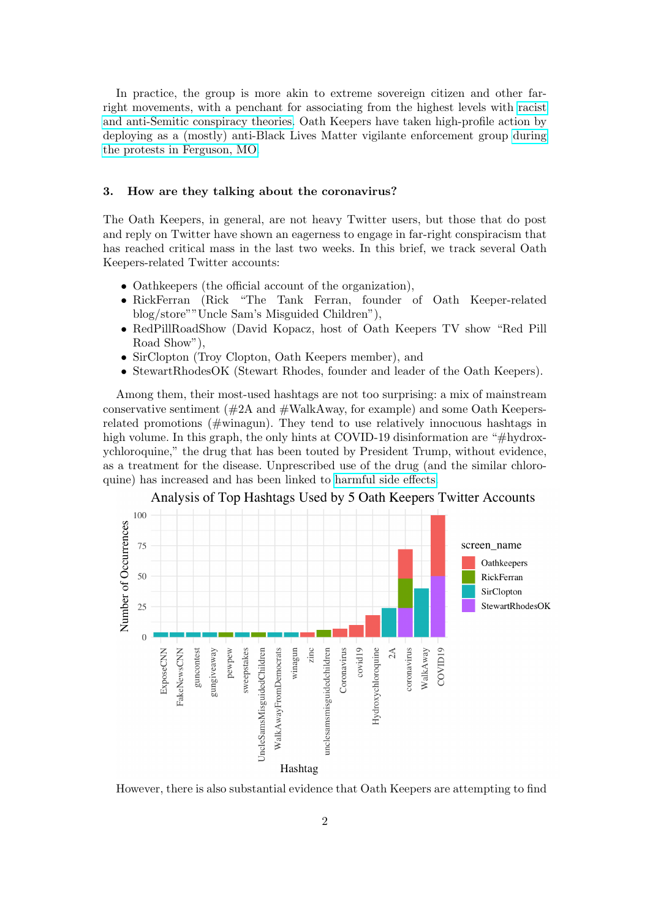In practice, the group is more akin to extreme sovereign citizen and other farright movements, with a penchant for associating from the highest levels with [racist](https://www.adl.org/resources/profiles/the-oath-keepers) [and anti-Semitic conspiracy theories.](https://www.adl.org/resources/profiles/the-oath-keepers) Oath Keepers have taken high-profile action by deploying as a (mostly) anti-Black Lives Matter vigilante enforcement group [during](https://www.bbc.com/news/world-us-canada-33867245) [the protests in Ferguson, MO.](https://www.bbc.com/news/world-us-canada-33867245)

#### 3. How are they talking about the coronavirus?

The Oath Keepers, in general, are not heavy Twitter users, but those that do post and reply on Twitter have shown an eagerness to engage in far-right conspiracism that has reached critical mass in the last two weeks. In this brief, we track several Oath Keepers-related Twitter accounts:

- Oathkeepers (the official account of the organization),
- RickFerran (Rick "The Tank Ferran, founder of Oath Keeper-related blog/store""Uncle Sam's Misguided Children"),
- RedPillRoadShow (David Kopacz, host of Oath Keepers TV show "Red Pill Road Show"),
- SirClopton (Troy Clopton, Oath Keepers member), and
- StewartRhodesOK (Stewart Rhodes, founder and leader of the Oath Keepers).

Among them, their most-used hashtags are not too surprising: a mix of mainstream conservative sentiment  $(\#2A \text{ and } \#WalkA$ way, for example) and some Oath Keepersrelated promotions (#winagun). They tend to use relatively innocuous hashtags in high volume. In this graph, the only hints at COVID-19 disinformation are "#hydroxychloroquine," the drug that has been touted by President Trump, without evidence, as a treatment for the disease. Unprescribed use of the drug (and the similar chloroquine) has increased and has been linked to [harmful side effects.](https://www.axios.com/chloroquine-coronavirus-death-09c91a91-4fe7-472c-9de9-79b890aa8fff.html)



Analysis of Top Hashtags Used by 5 Oath Keepers Twitter Accounts

However, there is also substantial evidence that Oath Keepers are attempting to find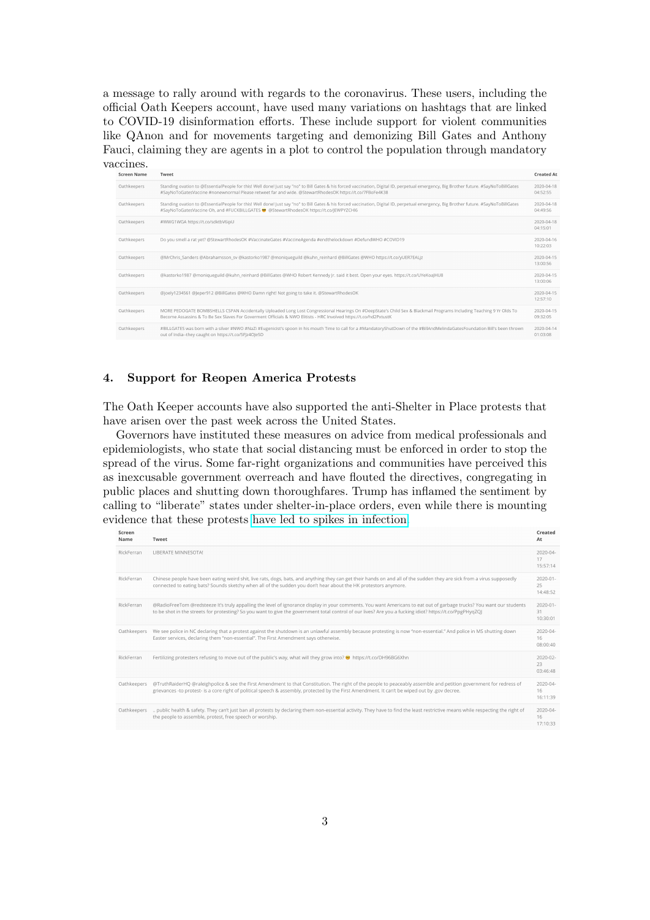a message to rally around with regards to the coronavirus. These users, including the official Oath Keepers account, have used many variations on hashtags that are linked to COVID-19 disinformation efforts. These include support for violent communities like QAnon and for movements targeting and demonizing Bill Gates and Anthony Fauci, claiming they are agents in a plot to control the population through mandatory vaccines.

| <b>Screen Name</b> | Tweet                                                                                                                                                                                                                                                                                             | <b>Created At</b>            |
|--------------------|---------------------------------------------------------------------------------------------------------------------------------------------------------------------------------------------------------------------------------------------------------------------------------------------------|------------------------------|
| Oathkeepers        | Standing ovation to @EssentialPeople for this! Well done! Just say "no" to Bill Gates & his forced vaccination, Digital ID, perpetual emergency, Big Brother future, #SayNoToBillGates<br>#SayNoToGatesVaccine #nonewnormal Please retweet far and wide, @StewartRhodesOK https://t.co/7FBoFe4K38 | $2020 - 04 - 18$<br>04:52:55 |
| Oathkeepers        | Standing ovation to @EssentialPeople for this! Well done! Just say "no" to Bill Gates & his forced vaccination, Digital ID, perpetual emergency, Big Brother future. #SayNoToBillGates<br>#SayNoToGatesVaccine Oh, and #FUCKBILLGATES @ @StewartRhodesOK https://t.co/JEWPYZCHI6                  | 2020-04-18<br>04:49:56       |
| Oathkeepers        | #WWG1WGA https://t.co/sdktbV6ipU                                                                                                                                                                                                                                                                  | 2020-04-18<br>04:15:01       |
| Oathkeepers        | Do you smell a rat yet? @StewartRhodesOK #VaccinateGates #VaccineAgenda #endthelockdown #DefundWHO #COVID19                                                                                                                                                                                       | 2020-04-16<br>10:22:03       |
| Oathkeepers        | @MrChris Sanders @Abrahamsson sv @kastorko1987 @moniqueguild @kuhn reinhard @BillGates @WHO https://t.co/yUER7EALiz                                                                                                                                                                               | 2020-04-15<br>13:00:56       |
| Oathkeepers        | @kastorko1987 @moniqueguild @kuhn_reinhard @BillGates @WHO Robert Kennedy Jr. said it best. Open your eyes. https://t.co/UYeKoaJHU8                                                                                                                                                               | 2020-04-15<br>13:00:06       |
| Oathkeepers        | @joely1234561 @Jeper912 @BillGates @WHO Damn right! Not going to take it. @StewartRhodesOK                                                                                                                                                                                                        | 2020-04-15<br>12:57:10       |
| Oathkeepers        | MORE PEDOGATE BOMBSHELLS CSPAN Accidentally Uploaded Long Lost Congressional Hearings On #DeepState's Child Sex & Blackmail Programs Including Teaching 9 Yr Olds To<br>Become Assassins & To Be Sex Slaves For Goverment Officials & NWO Elitists - HRC Involved https://t.co/hd2PxtustK         | 2020-04-15<br>09:32:05       |
| Oathkeepers        | #BILLGATES was born with a silver #NWO #NaZi #Eugenicist's spoon in his mouth Time to call for a #MandatoryShutDown of the #BillAndMelindaGatesFoundation Bill's been thrown<br>out of India--they caught on https://t.co/5FIz4Ole5D                                                              | 2020-04-14<br>01:03:08       |

## 4. Support for Reopen America Protests

The Oath Keeper accounts have also supported the anti-Shelter in Place protests that have arisen over the past week across the United States.

Governors have instituted these measures on advice from medical professionals and epidemiologists, who state that social distancing must be enforced in order to stop the spread of the virus. Some far-right organizations and communities have perceived this as inexcusable government overreach and have flouted the directives, congregating in public places and shutting down thoroughfares. Trump has inflamed the sentiment by calling to "liberate" states under shelter-in-place orders, even while there is mounting evidence that these protests [have led to spikes in infection.](https://www.newsweek.com/kentucky-reports-highest-coronavirus-infection-increase-after-week-protests-reopen-state-1498835)

| screen<br>Name | Tweet                                                                                                                                                                                                                                                                                                                             | created<br>At                   |
|----------------|-----------------------------------------------------------------------------------------------------------------------------------------------------------------------------------------------------------------------------------------------------------------------------------------------------------------------------------|---------------------------------|
| RickFerran     | LIBERATE MINNESOTA!                                                                                                                                                                                                                                                                                                               | 2020-04-<br>17<br>15:57:14      |
| RickFerran     | Chinese people have been eating weird shit, live rats, dogs, bats, and anything they can get their hands on and all of the sudden they are sick from a virus supposedly<br>connected to eating bats? Sounds sketchy when all of the sudden you don't hear about the HK protestors anymore.                                        | $2020 - 01 -$<br>25<br>14:48:52 |
| RickFerran     | @RadioFreeTom @redsteeze It's truly appalling the level of ignorance display in your comments. You want Americans to eat out of garbage trucks? You want our students<br>to be shot in the streets for protesting? So you want to give the government total control of our lives? Are you a fucking idiot? https://t.co/PpgPHyqZQ | $2020 - 01 -$<br>31<br>10:30:01 |
| Oathkeepers    | We see police in NC declaring that a protest against the shutdown is an unlawful assembly because protesting is now "non-essential." And police in MS shutting down<br>Easter services, declaring them "non-essential". The First Amendment says otherwise.                                                                       | 2020-04-<br>16<br>08:00:40      |
| RickFerran     | Fertilizing protesters refusing to move out of the public's way, what will they grow into? ● https://t.co/DH96BG6Xhn                                                                                                                                                                                                              | $2020 - 02 -$<br>23<br>03:46:48 |
| Oathkeepers    | @TruthRaiderHQ @raleighpolice & see the First Amendment to that Constitution. The right of the people to peaceably assemble and petition government for redress of<br>grievances -to protest- is a core right of political speech & assembly, protected by the First Amendment. It can't be wiped out by .gov decree.             | $2020 - 04 -$<br>16<br>16:11:39 |
| Oathkeepers    | public health & safety. They can't just ban all protests by declaring them non-essential activity. They have to find the least restrictive means while respecting the right of<br>the people to assemble, protest, free speech or worship.                                                                                        | 2020-04-<br>16<br>17:10:33      |
|                |                                                                                                                                                                                                                                                                                                                                   |                                 |